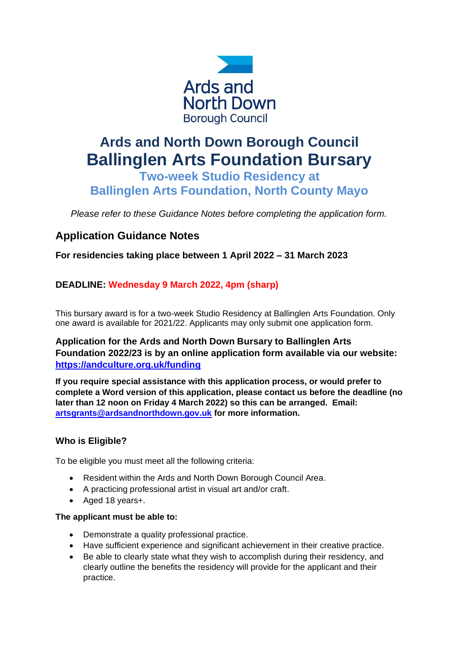

# **Ards and North Down Borough Council Ballinglen Arts Foundation Bursary**

**Two-week Studio Residency at Ballinglen Arts Foundation, North County Mayo**

*Please refer to these Guidance Notes before completing the application form.* 

# **Application Guidance Notes**

**For residencies taking place between 1 April 2022 – 31 March 2023**

# **DEADLINE: Wednesday 9 March 2022, 4pm (sharp)**

This bursary award is for a two-week Studio Residency at Ballinglen Arts Foundation. Only one award is available for 2021/22. Applicants may only submit one application form.

## **Application for the Ards and North Down Bursary to Ballinglen Arts Foundation 2022/23 is by an online application form available via our website: <https://andculture.org.uk/funding>**

**If you require special assistance with this application process, or would prefer to complete a Word version of this application, please contact us before the deadline (no later than 12 noon on Friday 4 March 2022) so this can be arranged. Email: [artsgrants@ardsandnorthdown.gov.uk](mailto:artsgrants@ardsandnorthdown.gov.uk) for more information.**

## **Who is Eligible?**

To be eligible you must meet all the following criteria:

- Resident within the Ards and North Down Borough Council Area.
- A practicing professional artist in visual art and/or craft.
- Aged 18 years+.

#### **The applicant must be able to:**

- Demonstrate a quality professional practice.
- Have sufficient experience and significant achievement in their creative practice.
- Be able to clearly state what they wish to accomplish during their residency, and clearly outline the benefits the residency will provide for the applicant and their practice.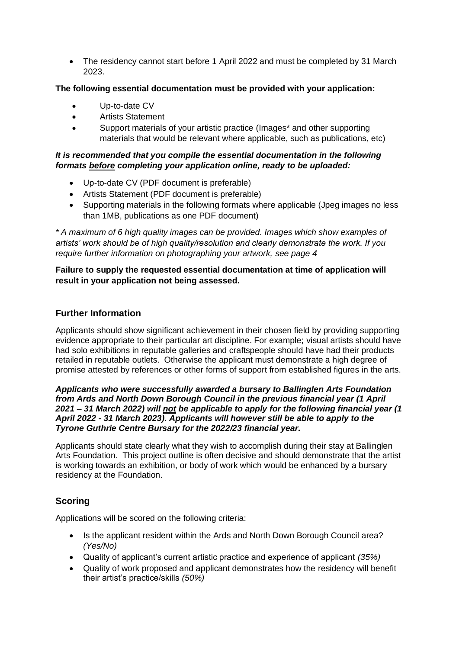• The residency cannot start before 1 April 2022 and must be completed by 31 March 2023.

#### **The following essential documentation must be provided with your application:**

- Up-to-date CV
- Artists Statement
- Support materials of your artistic practice (Images\* and other supporting materials that would be relevant where applicable, such as publications, etc)

#### *It is recommended that you compile the essential documentation in the following formats before completing your application online, ready to be uploaded:*

- Up-to-date CV (PDF document is preferable)
- Artists Statement (PDF document is preferable)
- Supporting materials in the following formats where applicable (Jpeg images no less than 1MB, publications as one PDF document)

*\* A maximum of 6 high quality images can be provided. Images which show examples of artists' work should be of high quality/resolution and clearly demonstrate the work. If you require further information on photographing your artwork, see page 4*

**Failure to supply the requested essential documentation at time of application will result in your application not being assessed.**

#### **Further Information**

Applicants should show significant achievement in their chosen field by providing supporting evidence appropriate to their particular art discipline. For example; visual artists should have had solo exhibitions in reputable galleries and craftspeople should have had their products retailed in reputable outlets. Otherwise the applicant must demonstrate a high degree of promise attested by references or other forms of support from established figures in the arts.

#### *Applicants who were successfully awarded a bursary to Ballinglen Arts Foundation from Ards and North Down Borough Council in the previous financial year (1 April 2021 – 31 March 2022) will not be applicable to apply for the following financial year (1 April 2022 - 31 March 2023). Applicants will however still be able to apply to the Tyrone Guthrie Centre Bursary for the 2022/23 financial year.*

Applicants should state clearly what they wish to accomplish during their stay at Ballinglen Arts Foundation. This project outline is often decisive and should demonstrate that the artist is working towards an exhibition, or body of work which would be enhanced by a bursary residency at the Foundation.

## **Scoring**

Applications will be scored on the following criteria:

- Is the applicant resident within the Ards and North Down Borough Council area? *(Yes/No)*
- Quality of applicant's current artistic practice and experience of applicant *(35%)*
- Quality of work proposed and applicant demonstrates how the residency will benefit their artist's practice/skills *(50%)*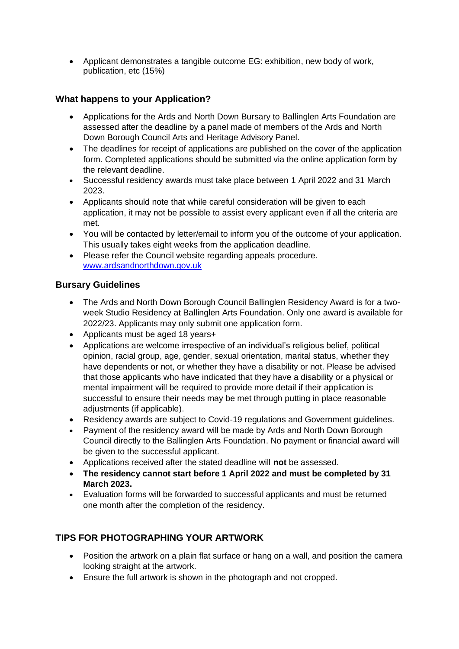• Applicant demonstrates a tangible outcome EG: exhibition, new body of work, publication, etc (15%)

## **What happens to your Application?**

- Applications for the Ards and North Down Bursary to Ballinglen Arts Foundation are assessed after the deadline by a panel made of members of the Ards and North Down Borough Council Arts and Heritage Advisory Panel.
- The deadlines for receipt of applications are published on the cover of the application form. Completed applications should be submitted via the online application form by the relevant deadline.
- Successful residency awards must take place between 1 April 2022 and 31 March 2023.
- Applicants should note that while careful consideration will be given to each application, it may not be possible to assist every applicant even if all the criteria are met.
- You will be contacted by letter/email to inform you of the outcome of your application. This usually takes eight weeks from the application deadline.
- Please refer the Council website regarding appeals procedure. [www.ardsandnorthdown.gov.uk](http://www.ardsandnorthdown.gov.uk/)

### **Bursary Guidelines**

- The Ards and North Down Borough Council Ballinglen Residency Award is for a twoweek Studio Residency at Ballinglen Arts Foundation. Only one award is available for 2022/23. Applicants may only submit one application form.
- Applicants must be aged 18 years+
- Applications are welcome irrespective of an individual's religious belief, political opinion, racial group, age, gender, sexual orientation, marital status, whether they have dependents or not, or whether they have a disability or not. Please be advised that those applicants who have indicated that they have a disability or a physical or mental impairment will be required to provide more detail if their application is successful to ensure their needs may be met through putting in place reasonable adjustments (if applicable).
- Residency awards are subject to Covid-19 regulations and Government guidelines.
- Payment of the residency award will be made by Ards and North Down Borough Council directly to the Ballinglen Arts Foundation. No payment or financial award will be given to the successful applicant.
- Applications received after the stated deadline will **not** be assessed.
- **The residency cannot start before 1 April 2022 and must be completed by 31 March 2023.**
- Evaluation forms will be forwarded to successful applicants and must be returned one month after the completion of the residency.

# **TIPS FOR PHOTOGRAPHING YOUR ARTWORK**

- Position the artwork on a plain flat surface or hang on a wall, and position the camera looking straight at the artwork.
- Ensure the full artwork is shown in the photograph and not cropped.